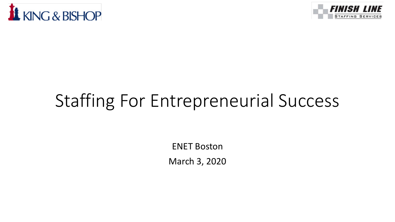



# Staffing For Entrepreneurial Success

ENET Boston March 3, 2020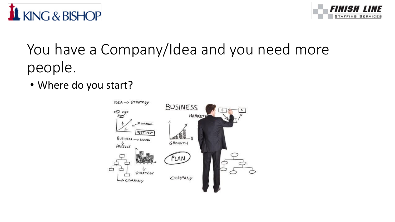



### You have a Company/Idea and you need more people.

• Where do you start?

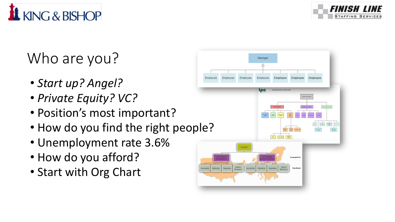

# Who are you?

KING & BISHOP

- *Start up? Angel?*
- *Private Equity? VC?*
- Position's most important?
- How do you find the right people?
- Unemployment rate 3.6%
- How do you afford?
- Start with Org Chart

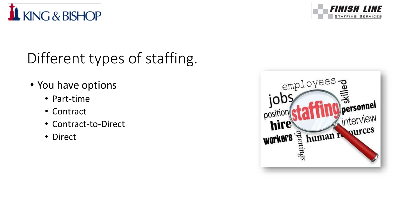



# Different types of staffing.

- You have options
	- Part-time
	- Contract
	- Contract-to-Direct
	- Direct

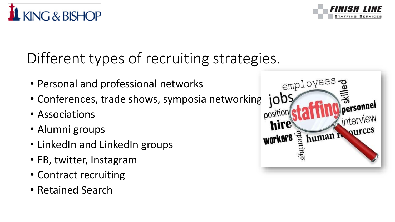

- Personal and professional networks
- Conferences, trade shows, symposia networking
- Associations

KING & BISHOP

- Alumni groups
- LinkedIn and LinkedIn groups
- FB, twitter, Instagram
- Contract recruiting
- Retained Search



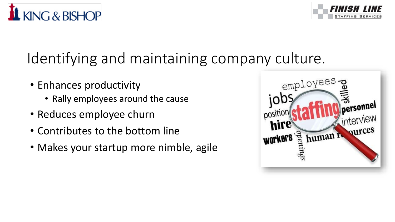



#### Identifying and maintaining company culture.

- Enhances productivity
	- Rally employees around the cause
- Reduces employee churn
- Contributes to the bottom line
- Makes your startup more nimble, agile

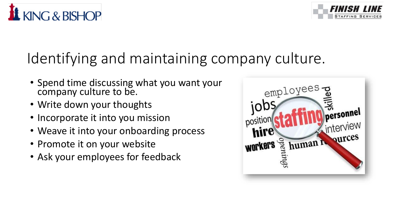



#### Identifying and maintaining company culture.

- Spend time discussing what you want your company culture to be.
- Write down your thoughts
- Incorporate it into you mission
- Weave it into your onboarding process
- Promote it on your website
- Ask your employees for feedback

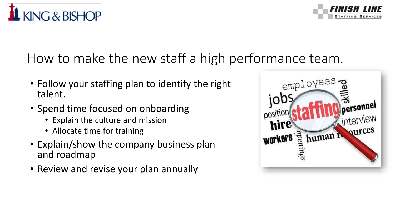



#### How to make the new staff a high performance team.

- Follow your staffing plan to identify the right talent.
- Spend time focused on onboarding
	- Explain the culture and mission
	- Allocate time for training
- Explain/show the company business plan and roadmap
- Review and revise your plan annually